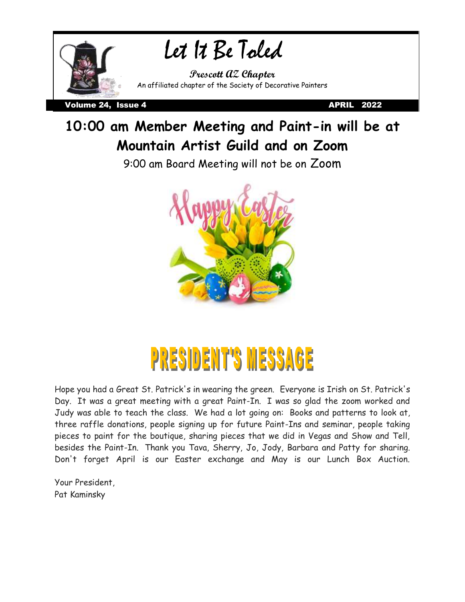

### **10:00 am Member Meeting and Paint-in will be at Mountain Artist Guild and on Zoom**

9:00 am Board Meeting will not be on Zoom



### **PRESIDENT'S MESSA** 63

Hope you had a Great St. Patrick's in wearing the green. Everyone is Irish on St. Patrick's Day. It was a great meeting with a great Paint-In. I was so glad the zoom worked and Judy was able to teach the class. We had a lot going on: Books and patterns to look at, three raffle donations, people signing up for future Paint-Ins and seminar, people taking pieces to paint for the boutique, sharing pieces that we did in Vegas and Show and Tell, besides the Paint-In. Thank you Tava, Sherry, Jo, Jody, Barbara and Patty for sharing. Don't forget April is our Easter exchange and May is our Lunch Box Auction.

Your President, Pat Kaminsky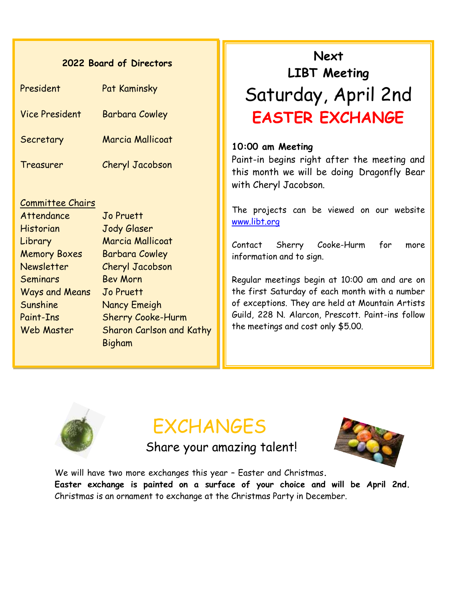#### **2022 Board of Directors**

| President             | Pat Kaminsky           |
|-----------------------|------------------------|
| <b>Vice President</b> | <b>Barbara Cowley</b>  |
| Secretary             | Marcia Mallicoat       |
| Treasurer             | <b>Cheryl Jacobson</b> |

#### Committee Chairs

Attendance Jo Pruett Historian Jody Glaser Library Marcia Mallicoat Memory Boxes Barbara Cowley Newsletter Cheryl Jacobson Seminars Bev Morn Ways and Means Jo Pruett Sunshine Nancy Emeigh Paint-Ins Sherry Cooke-Hurm Web Master Sharon Carlson and Kathy Bigham

# Saturday, April 2nd **Next LIBT Meeting EASTER EXCHANGE**

#### **10:00 am Meeting**

Paint-in begins right after the meeting and this month we will be doing Dragonfly Bear with Cheryl Jacobson.

The projects can be viewed on our website [www.libt.org](http://www.libt.org/)

Contact Sherry Cooke-Hurm for more information and to sign.

Regular meetings begin at 10:00 am and are on the first Saturday of each month with a number of exceptions. They are held at Mountain Artists Guild, 228 N. Alarcon, Prescott. Paint-ins follow the meetings and cost only \$5.00.



# **FXCHANGES**

Share your amazing talent!



We will have two more exchanges this year – Easter and Christmas**. Easter exchange is painted on a surface of your choice and will be April 2nd.** Christmas is an ornament to exchange at the Christmas Party in December.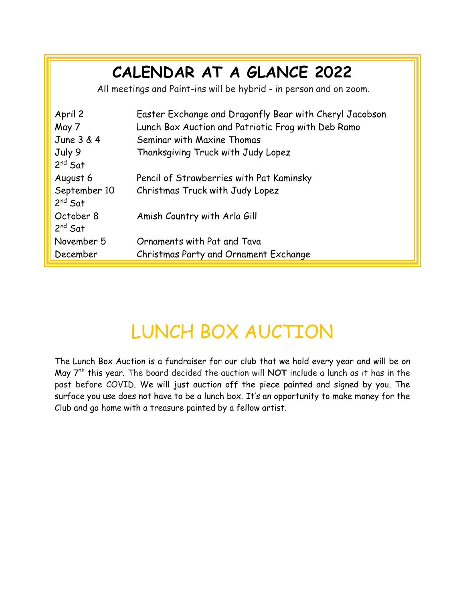# **CALENDAR AT A GLANCE 2022**

All meetings and Paint-ins will be hybrid - in person and on zoom.

| April 2<br>May 7             | Easter Exchange and Dragonfly Bear with Cheryl Jacobson<br>Lunch Box Auction and Patriotic Frog with Deb Ramo |
|------------------------------|---------------------------------------------------------------------------------------------------------------|
| June 3 & 4                   | Seminar with Maxine Thomas                                                                                    |
| July 9                       | Thanksgiving Truck with Judy Lopez                                                                            |
| $2^{nd}$ Sat                 |                                                                                                               |
| August 6                     | Pencil of Strawberries with Pat Kaminsky                                                                      |
| September 10<br>$2^{nd}$ Sat | Christmas Truck with Judy Lopez                                                                               |
| October 8<br>$2^{nd}$ Sat    | Amish Country with Arla Gill                                                                                  |
| November 5                   | Ornaments with Pat and Tava                                                                                   |
| December                     | Christmas Party and Ornament Exchange                                                                         |

# LUNCH BOX AUCTION

The Lunch Box Auction is a fundraiser for our club that we hold every year and will be on May 7th this year. The board decided the auction will **NOT** include a lunch as it has in the past before COVID. We will just auction off the piece painted and signed by you. The surface you use does not have to be a lunch box. It's an opportunity to make money for the Club and go home with a treasure painted by a fellow artist.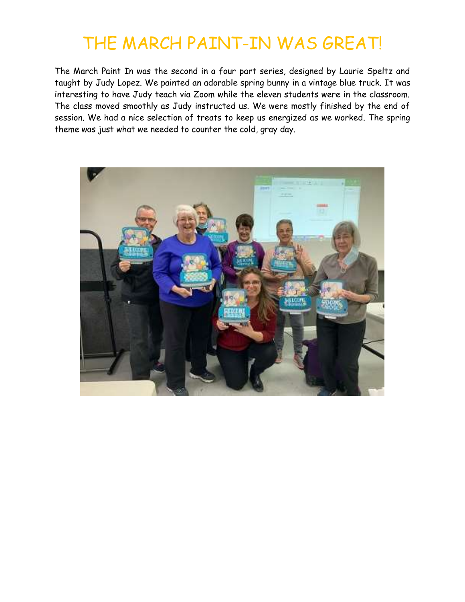# THE MARCH PAINT-IN WAS GREAT!

The March Paint In was the second in a four part series, designed by Laurie Speltz and taught by Judy Lopez. We painted an adorable spring bunny in a vintage blue truck. It was interesting to have Judy teach via Zoom while the eleven students were in the classroom. The class moved smoothly as Judy instructed us. We were mostly finished by the end of session. We had a nice selection of treats to keep us energized as we worked. The spring theme was just what we needed to counter the cold, gray day.

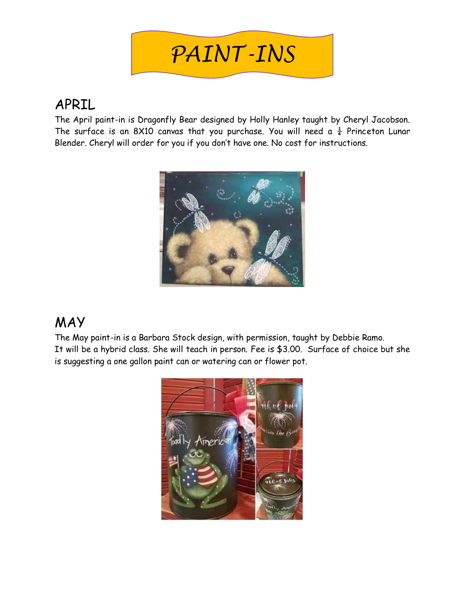

### APRIL

The April paint-in is Dragonfly Bear designed by Holly Hanley taught by Cheryl Jacobson. The surface is an 8X10 canvas that you purchase. You will need a  $\frac{1}{4}$  Princeton Lunar Fine bar race to an over barnal man you par chase. You win nobel a 4 11 most



### MAY

The May paint-in is a Barbara Stock design, with permission, taught by Debbie Ramo. It will be a hybrid class. She will teach in person. Fee is \$3.00. Surface of choice but she is suggesting a one gallon paint can or watering can or flower pot.

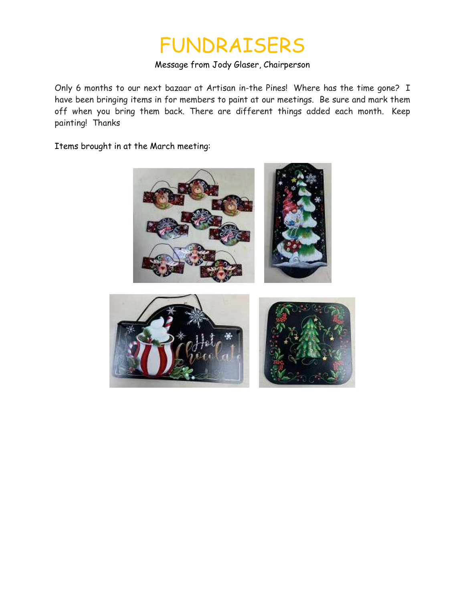# FUNDRAISERS

#### Message from Jody Glaser, Chairperson

Only 6 months to our next bazaar at Artisan in-the Pines! Where has the time gone? I have been bringing items in for members to paint at our meetings. Be sure and mark them off when you bring them back. There are different things added each month. Keep painting! Thanks

Items brought in at the March meeting:



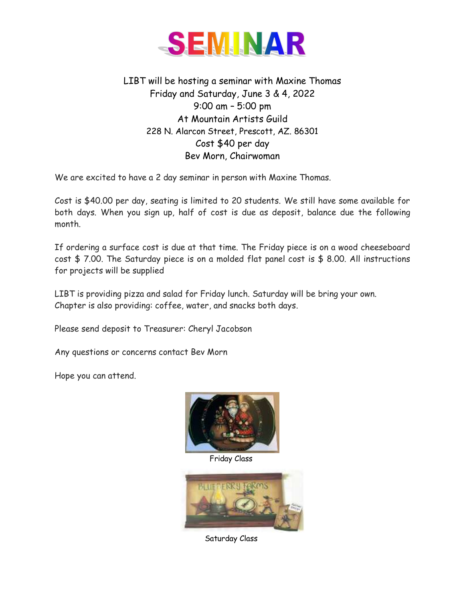

LIBT will be hosting a seminar with Maxine Thomas Friday and Saturday, June 3 & 4, 2022 9:00 am – 5:00 pm At Mountain Artists Guild 228 N. Alarcon Street, Prescott, AZ. 86301 Cost \$40 per day Bev Morn, Chairwoman

We are excited to have a 2 day seminar in person with Maxine Thomas.

Cost is \$40.00 per day, seating is limited to 20 students. We still have some available for both days. When you sign up, half of cost is due as deposit, balance due the following month.

If ordering a surface cost is due at that time. The Friday piece is on a wood cheeseboard cost \$ 7.00. The Saturday piece is on a molded flat panel cost is \$ 8.00. All instructions for projects will be supplied

LIBT is providing pizza and salad for Friday lunch. Saturday will be bring your own. Chapter is also providing: coffee, water, and snacks both days.

Please send deposit to Treasurer: Cheryl Jacobson

Any questions or concerns contact Bev Morn

Hope you can attend.

![](_page_6_Picture_9.jpeg)

Friday Class

![](_page_6_Picture_11.jpeg)

Saturday Class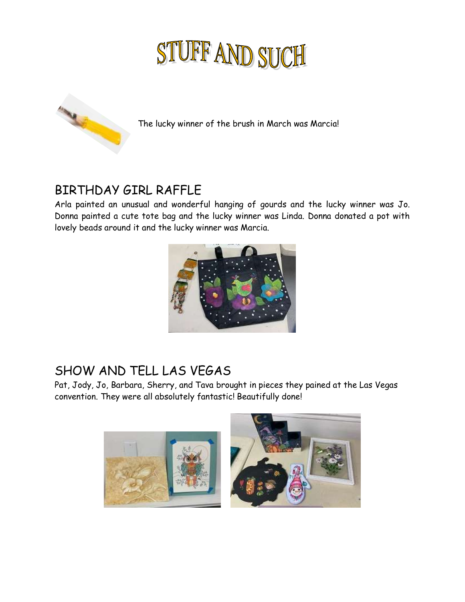# STUFF AND SUCH

![](_page_7_Picture_1.jpeg)

The lucky winner of the brush in March was Marcia!

### BIRTHDAY GIRL RAFFLE

Arla painted an unusual and wonderful hanging of gourds and the lucky winner was Jo. Donna painted a cute tote bag and the lucky winner was Linda. Donna donated a pot with lovely beads around it and the lucky winner was Marcia.

![](_page_7_Picture_5.jpeg)

### SHOW AND TELL LAS VEGAS

Pat, Jody, Jo, Barbara, Sherry, and Tava brought in pieces they pained at the Las Vegas convention. They were all absolutely fantastic! Beautifully done!

![](_page_7_Picture_8.jpeg)

![](_page_7_Picture_9.jpeg)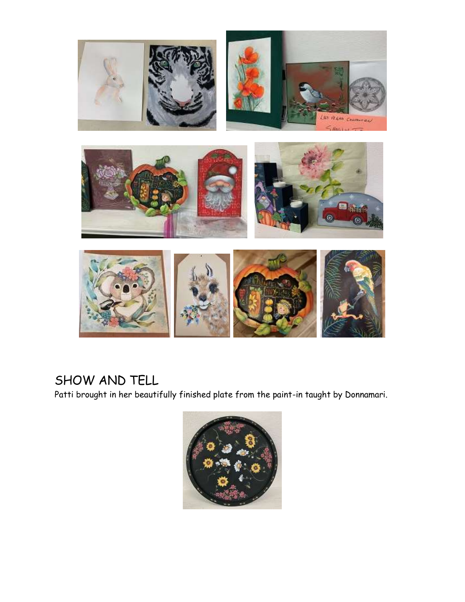![](_page_8_Picture_0.jpeg)

### SHOW AND TELL

Patti brought in her beautifully finished plate from the paint-in taught by Donnamari.

![](_page_8_Picture_3.jpeg)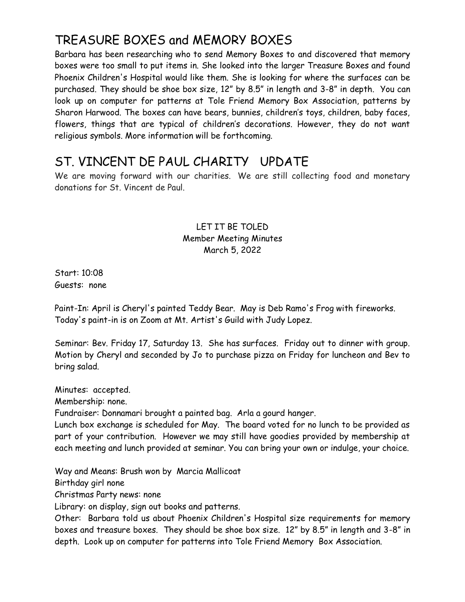### TREASURE BOXES and MEMORY BOXES

Barbara has been researching who to send Memory Boxes to and discovered that memory boxes were too small to put items in. She looked into the larger Treasure Boxes and found Phoenix Children's Hospital would like them. She is looking for where the surfaces can be purchased. They should be shoe box size, 12" by 8.5" in length and 3-8" in depth. You can look up on computer for patterns at Tole Friend Memory Box Association, patterns by Sharon Harwood. The boxes can have bears, bunnies, children's toys, children, baby faces, flowers, things that are typical of children's decorations. However, they do not want religious symbols. More information will be forthcoming.

### ST. VINCENT DE PAUL CHARITY UPDATE

We are moving forward with our charities. We are still collecting food and monetary donations for St. Vincent de Paul.

#### LET IT BE TOLED Member Meeting Minutes March 5, 2022

Start: 10:08 Guests: none

Paint-In: April is Cheryl's painted Teddy Bear. May is Deb Ramo's Frog with fireworks. Today's paint-in is on Zoom at Mt. Artist's Guild with Judy Lopez.

Seminar: Bev. Friday 17, Saturday 13. She has surfaces. Friday out to dinner with group. Motion by Cheryl and seconded by Jo to purchase pizza on Friday for luncheon and Bev to bring salad.

Minutes: accepted.

Membership: none.

Fundraiser: Donnamari brought a painted bag. Arla a gourd hanger.

Lunch box exchange is scheduled for May. The board voted for no lunch to be provided as part of your contribution. However we may still have goodies provided by membership at each meeting and lunch provided at seminar. You can bring your own or indulge, your choice.

Way and Means: Brush won by Marcia Mallicoat

Birthday girl none

Christmas Party news: none

Library: on display, sign out books and patterns.

Other: Barbara told us about Phoenix Children's Hospital size requirements for memory boxes and treasure boxes. They should be shoe box size. 12" by 8.5" in length and 3-8" in depth. Look up on computer for patterns into Tole Friend Memory Box Association.